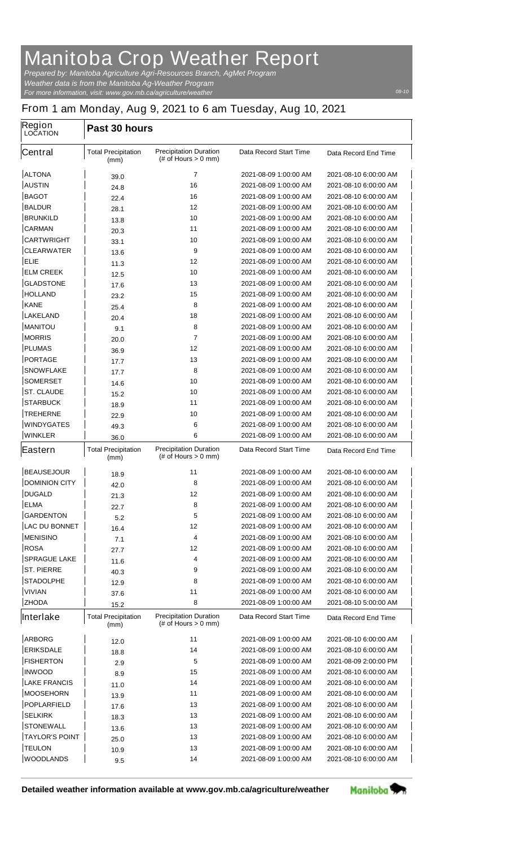## **Manitoba Crop Weather Report**

*For more information, visit: www.gov.mb.ca/agriculture/weather Prepared by: Manitoba Agriculture Agri-Resources Branch, AgMet Program Weather data is from the Manitoba Ag-Weather Program*

## **From 1 am Monday, Aug 9, 2021 to 6 am Tuesday, Aug 10, 2021**

| <b>Region</b><br><b>LOCATION</b>  | Past 30 hours                              |                                                         |                                                |                                                |  |
|-----------------------------------|--------------------------------------------|---------------------------------------------------------|------------------------------------------------|------------------------------------------------|--|
| <b>Central</b>                    | <b>Total Precipitation</b><br>(mm)         | <b>Precipitation Duration</b><br>$#$ of Hours $> 0$ mm) | <b>Data Record Start Time</b>                  | Data Record End Time                           |  |
| <b>ALTONA</b>                     | 39.0                                       | 7                                                       | 2021-08-09 1:00:00 AM                          | 2021-08-10 6:00:00 AM                          |  |
| <b>AUSTIN</b>                     | 24.8                                       | 16                                                      | 2021-08-09 1:00:00 AM                          | 2021-08-10 6:00:00 AM                          |  |
| <b>BAGOT</b>                      | 22.4                                       | 16                                                      | 2021-08-09 1:00:00 AM                          | 2021-08-10 6:00:00 AM                          |  |
| <b>BALDUR</b>                     | 28.1                                       | 12                                                      | 2021-08-09 1:00:00 AM                          | 2021-08-10 6:00:00 AM                          |  |
| <b>BRUNKILD</b>                   | 13.8                                       | 10                                                      | 2021-08-09 1:00:00 AM                          | 2021-08-10 6:00:00 AM                          |  |
| <b>CARMAN</b>                     | 20.3                                       | 11                                                      | 2021-08-09 1:00:00 AM                          | 2021-08-10 6:00:00 AM                          |  |
| <b>CARTWRIGHT</b>                 | 33.1                                       | 10                                                      | 2021-08-09 1:00:00 AM                          | 2021-08-10 6:00:00 AM                          |  |
| <b>CLEARWATER</b>                 | 13.6                                       | 9                                                       | 2021-08-09 1:00:00 AM                          | 2021-08-10 6:00:00 AM                          |  |
| <b>ELIE</b>                       | 11.3                                       | 12                                                      | 2021-08-09 1:00:00 AM                          | 2021-08-10 6:00:00 AM                          |  |
| <b>ELM CREEK</b>                  | 12.5                                       | 10                                                      | 2021-08-09 1:00:00 AM                          | 2021-08-10 6:00:00 AM                          |  |
| <b>GLADSTONE</b>                  | 17.6                                       | 13                                                      | 2021-08-09 1:00:00 AM                          | 2021-08-10 6:00:00 AM                          |  |
| <b>HOLLAND</b>                    | 23.2                                       | 15                                                      | 2021-08-09 1:00:00 AM                          | 2021-08-10 6:00:00 AM                          |  |
| <b>KANE</b>                       | 25.4                                       | 8                                                       | 2021-08-09 1:00:00 AM                          | 2021-08-10 6:00:00 AM                          |  |
| <b>LAKELAND</b>                   | 20.4                                       | 18                                                      | 2021-08-09 1:00:00 AM                          | 2021-08-10 6:00:00 AM                          |  |
| <b>MANITOU</b>                    | 9.1                                        | 8                                                       | 2021-08-09 1:00:00 AM                          | 2021-08-10 6:00:00 AM                          |  |
| <b>MORRIS</b>                     | 20.0                                       | 7                                                       | 2021-08-09 1:00:00 AM                          | 2021-08-10 6:00:00 AM                          |  |
| <b>PLUMAS</b>                     | 36.9                                       | 12                                                      | 2021-08-09 1:00:00 AM                          | 2021-08-10 6:00:00 AM                          |  |
| <b>PORTAGE</b>                    | 17.7                                       | 13                                                      | 2021-08-09 1:00:00 AM                          | 2021-08-10 6:00:00 AM                          |  |
| <b>SNOWFLAKE</b>                  | 17.7                                       | 8                                                       | 2021-08-09 1:00:00 AM                          | 2021-08-10 6:00:00 AM                          |  |
| <b>SOMERSET</b>                   | 14.6                                       | 10                                                      | 2021-08-09 1:00:00 AM                          | 2021-08-10 6:00:00 AM                          |  |
| <b>ST. CLAUDE</b>                 | 15.2                                       | 10                                                      | 2021-08-09 1:00:00 AM                          | 2021-08-10 6:00:00 AM                          |  |
| <b>STARBUCK</b>                   | 18.9                                       | 11                                                      | 2021-08-09 1:00:00 AM                          | 2021-08-10 6:00:00 AM                          |  |
| <b>TREHERNE</b>                   | 22.9                                       | 10                                                      | 2021-08-09 1:00:00 AM                          | 2021-08-10 6:00:00 AM                          |  |
| <b>WINDYGATES</b>                 | 49.3                                       | 6                                                       | 2021-08-09 1:00:00 AM                          | 2021-08-10 6:00:00 AM                          |  |
| <b>WINKLER</b>                    | 36.0                                       | 6                                                       | 2021-08-09 1:00:00 AM                          | 2021-08-10 6:00:00 AM                          |  |
|                                   |                                            |                                                         |                                                |                                                |  |
| <b>Eastern</b>                    | <b>Total Precipitation</b><br>(mm)         | <b>Precipitation Duration</b><br>$#$ of Hours $> 0$ mm) | <b>Data Record Start Time</b>                  | Data Record End Time                           |  |
|                                   |                                            |                                                         |                                                |                                                |  |
| <b>BEAUSEJOUR</b>                 | 18.9                                       | 11                                                      | 2021-08-09 1:00:00 AM                          | 2021-08-10 6:00:00 AM                          |  |
| <b>DOMINION CITY</b>              | 42.0                                       | 8                                                       | 2021-08-09 1:00:00 AM<br>2021-08-09 1:00:00 AM | 2021-08-10 6:00:00 AM                          |  |
| <b>DUGALD</b>                     | 21.3                                       | 12                                                      |                                                | 2021-08-10 6:00:00 AM                          |  |
| <b>ELMA</b>                       | 22.7                                       | 8                                                       | 2021-08-09 1:00:00 AM                          | 2021-08-10 6:00:00 AM                          |  |
| <b>GARDENTON</b>                  | 5.2                                        | 5                                                       | 2021-08-09 1:00:00 AM                          | 2021-08-10 6:00:00 AM                          |  |
| <b>LAC DU BONNET</b>              | 16.4                                       | 12                                                      | 2021-08-09 1:00:00 AM                          | 2021-08-10 6:00:00 AM                          |  |
| <b>MENISINO</b>                   | 7.1                                        | 4                                                       | 2021-08-09 1:00:00 AM                          | 2021-08-10 6:00:00 AM                          |  |
| <b>ROSA</b>                       | 27.7                                       | 12                                                      | 2021-08-09 1:00:00 AM                          | 2021-08-10 6:00:00 AM                          |  |
| <b>SPRAGUE LAKE</b>               | 11.6                                       | 4                                                       | 2021-08-09 1:00:00 AM                          | 2021-08-10 6:00:00 AM                          |  |
| <b>ST. PIERRE</b>                 | 40.3                                       | 9<br>8                                                  | 2021-08-09 1:00:00 AM                          | 2021-08-10 6:00:00 AM<br>2021-08-10 6:00:00 AM |  |
| <b>STADOLPHE</b>                  | 12.9                                       | 11                                                      | 2021-08-09 1:00:00 AM<br>2021-08-09 1:00:00 AM | 2021-08-10 6:00:00 AM                          |  |
| <b>VIVIAN</b><br><b>ZHODA</b>     | 37.6                                       | 8                                                       | 2021-08-09 1:00:00 AM                          | 2021-08-10 5:00:00 AM                          |  |
| Interlake                         | 15.2<br><b>Total Precipitation</b><br>(mm) | <b>Precipitation Duration</b><br>$#$ of Hours $> 0$ mm) | <b>Data Record Start Time</b>                  | Data Record End Time                           |  |
|                                   |                                            |                                                         |                                                |                                                |  |
| <b>ARBORG</b>                     | 12.0                                       | 11                                                      | 2021-08-09 1:00:00 AM<br>2021-08-09 1:00:00 AM | 2021-08-10 6:00:00 AM<br>2021-08-10 6:00:00 AM |  |
| <b>ERIKSDALE</b>                  | 18.8                                       | 14                                                      |                                                |                                                |  |
| <b>FISHERTON</b><br><b>INWOOD</b> | 2.9                                        | 5<br>15                                                 | 2021-08-09 1:00:00 AM<br>2021-08-09 1:00:00 AM | 2021-08-09 2:00:00 PM<br>2021-08-10 6:00:00 AM |  |
| <b>LAKE FRANCIS</b>               | 8.9                                        | 14                                                      | 2021-08-09 1:00:00 AM                          | 2021-08-10 6:00:00 AM                          |  |
| <b>MOOSEHORN</b>                  | 11.0                                       | 11                                                      | 2021-08-09 1:00:00 AM                          | 2021-08-10 6:00:00 AM                          |  |
|                                   | 13.9                                       |                                                         |                                                |                                                |  |
| <b>POPLARFIELD</b>                | 17.6                                       | 13                                                      | 2021-08-09 1:00:00 AM                          | 2021-08-10 6:00:00 AM                          |  |
| <b>SELKIRK</b>                    | 18.3                                       | 13                                                      | 2021-08-09 1:00:00 AM                          | 2021-08-10 6:00:00 AM                          |  |
| <b>STONEWALL</b>                  | 13.6                                       | 13                                                      | 2021-08-09 1:00:00 AM                          | 2021-08-10 6:00:00 AM                          |  |
| <b>TAYLOR'S POINT</b>             | 25.0                                       | 13                                                      | 2021-08-09 1:00:00 AM                          | 2021-08-10 6:00:00 AM                          |  |
| <b>TEULON</b><br><b>WOODLANDS</b> | 10.9<br>9.5                                | 13<br>14                                                | 2021-08-09 1:00:00 AM<br>2021-08-09 1:00:00 AM | 2021-08-10 6:00:00 AM<br>2021-08-10 6:00:00 AM |  |

**Detailed weather information available at www.gov.mb.ca/agriculture/weather**